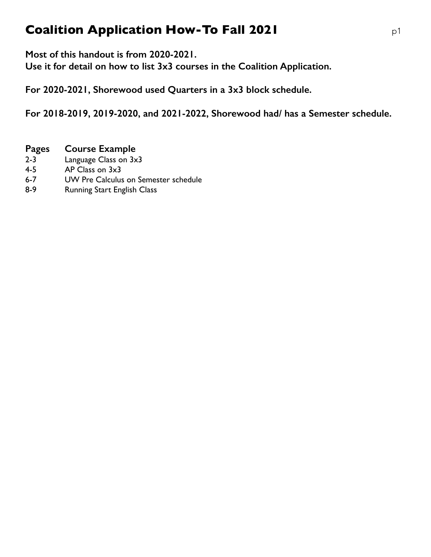# **Coalition Application How-To Fall 2021 p1**

**Most of this handout is from 2020-2021.**

**Use it for detail on how to list 3x3 courses in the Coalition Application.** 

**For 2020-2021, Shorewood used Quarters in a 3x3 block schedule.** 

**For 2018-2019, 2019-2020, and 2021-2022, Shorewood had/ has a Semester schedule.** 

### **Pages Course Example**

- 2-3 Language Class on 3x3
- 4-5 AP Class on 3x3
- 6-7 UW Pre Calculus on Semester schedule
- 8-9 Running Start English Class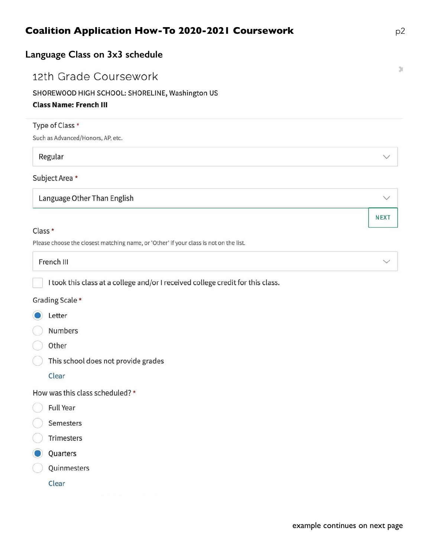| Language Class on 3x3 schedule                                                   |  |
|----------------------------------------------------------------------------------|--|
| 12th Grade Coursework                                                            |  |
| SHOREWOOD HIGH SCHOOL: SHORELINE, Washington US<br><b>Class Name: French III</b> |  |
| Type of Class *                                                                  |  |
| Such as Advanced/Honors, AP, etc.                                                |  |

#### Regular

#### Subject Area \*

Language Other Than English

#### Class \*

Please choose the closest matching name, or 'Other' if your class is not on the list.

# French III

I took this class at a college and/or I received college credit for this class.

#### Grading Scale \*

- Letter
- Numbers
- Other
- This school does not provide grades
	- Clear

How was this class scheduled? \*

- Full Year
- Semesters
- Trimesters
- Quarters
- Quinmesters
	- Clear

 $\bowtie$ 

**NEXT**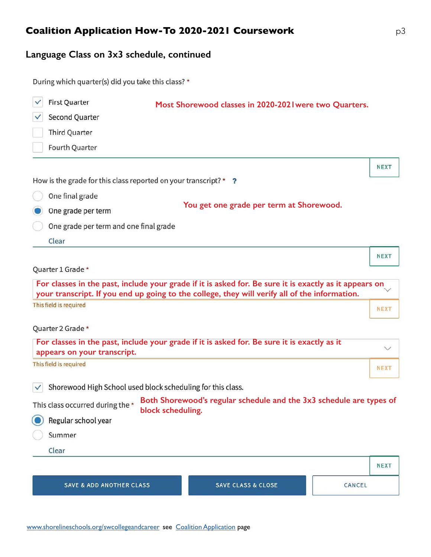# **Language Class on 3x3 schedule, continued**

| During which quarter(s) did you take this class? * |  |  |
|----------------------------------------------------|--|--|
|----------------------------------------------------|--|--|

| <b>First Quarter</b>                                             | Most Shorewood classes in 2020-202 I were two Quarters.                                                                                                                                                 |              |
|------------------------------------------------------------------|---------------------------------------------------------------------------------------------------------------------------------------------------------------------------------------------------------|--------------|
| <b>Second Quarter</b>                                            |                                                                                                                                                                                                         |              |
| <b>Third Quarter</b>                                             |                                                                                                                                                                                                         |              |
| Fourth Quarter                                                   |                                                                                                                                                                                                         |              |
|                                                                  |                                                                                                                                                                                                         | <b>NEXT</b>  |
| How is the grade for this class reported on your transcript? * ? |                                                                                                                                                                                                         |              |
| One final grade                                                  |                                                                                                                                                                                                         |              |
| One grade per term                                               | You get one grade per term at Shorewood.                                                                                                                                                                |              |
| One grade per term and one final grade                           |                                                                                                                                                                                                         |              |
| Clear                                                            |                                                                                                                                                                                                         |              |
|                                                                  |                                                                                                                                                                                                         | <b>NEXT</b>  |
| Quarter 1 Grade *                                                |                                                                                                                                                                                                         |              |
|                                                                  | For classes in the past, include your grade if it is asked for. Be sure it is exactly as it appears on<br>your transcript. If you end up going to the college, they will verify all of the information. |              |
| This field is required                                           |                                                                                                                                                                                                         | <b>NEXT</b>  |
| Quarter 2 Grade *                                                |                                                                                                                                                                                                         |              |
| appears on your transcript.                                      | For classes in the past, include your grade if it is asked for. Be sure it is exactly as it                                                                                                             | $\checkmark$ |
| This field is required                                           |                                                                                                                                                                                                         | <b>NEXT</b>  |
| Shorewood High School used block scheduling for this class.      |                                                                                                                                                                                                         |              |
| This class occurred during the *                                 | Both Shorewood's regular schedule and the 3x3 schedule are types of<br>block scheduling.                                                                                                                |              |
| Regular school year                                              |                                                                                                                                                                                                         |              |
| Summer                                                           |                                                                                                                                                                                                         |              |
| Clear                                                            |                                                                                                                                                                                                         |              |
|                                                                  |                                                                                                                                                                                                         | <b>NEXT</b>  |
| <b>SAVE &amp; ADD ANOTHER CLASS</b>                              | <b>SAVE CLASS &amp; CLOSE</b><br>CANCEL                                                                                                                                                                 |              |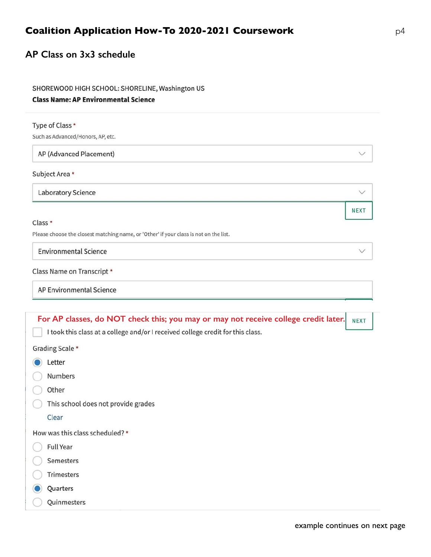### AP Class on 3x3 schedule

#### SHOREWOOD HIGH SCHOOL: SHORELINE, Washington US

#### **Class Name: AP Environmental Science**

| Type of Class *                                                                       |              |
|---------------------------------------------------------------------------------------|--------------|
| Such as Advanced/Honors, AP, etc.                                                     |              |
| AP (Advanced Placement)                                                               | $\checkmark$ |
| Subject Area *                                                                        |              |
| <b>Laboratory Science</b>                                                             | $\checkmark$ |
|                                                                                       | <b>NEXT</b>  |
| Class *                                                                               |              |
| Please choose the closest matching name, or 'Other' if your class is not on the list. |              |
| <b>Environmental Science</b>                                                          | $\checkmark$ |
| Class Name on Transcript *                                                            |              |
| AP Environmental Science                                                              |              |

| For AP classes, do NOT check this; you may or may not receive college credit later. $ $ NEXT |  |
|----------------------------------------------------------------------------------------------|--|
|                                                                                              |  |

I took this class at a college and/or I received college credit for this class.

Grading Scale \*

C Letter

Numbers

Other

This school does not provide grades

Clear

How was this class scheduled? \*

- **Full Year**
- Semesters
- Trimesters
- Quarters
- Quinmesters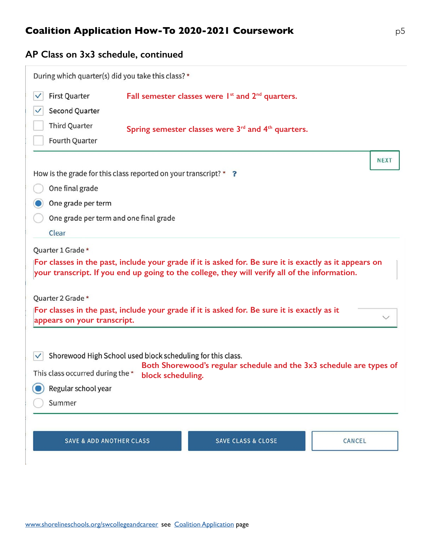## **AP Class on 3x3 schedule, continued**

| During which quarter(s) did you take this class? * |                                                                                                                                                                                                         |             |
|----------------------------------------------------|---------------------------------------------------------------------------------------------------------------------------------------------------------------------------------------------------------|-------------|
| <b>First Quarter</b>                               | Fall semester classes were 1 <sup>st</sup> and 2 <sup>nd</sup> quarters.                                                                                                                                |             |
| Second Quarter                                     |                                                                                                                                                                                                         |             |
| <b>Third Quarter</b>                               | Spring semester classes were $3rd$ and $4th$ quarters.                                                                                                                                                  |             |
| Fourth Quarter                                     |                                                                                                                                                                                                         |             |
|                                                    |                                                                                                                                                                                                         | <b>NEXT</b> |
|                                                    | How is the grade for this class reported on your transcript? * ?                                                                                                                                        |             |
| One final grade                                    |                                                                                                                                                                                                         |             |
| One grade per term                                 |                                                                                                                                                                                                         |             |
| One grade per term and one final grade             |                                                                                                                                                                                                         |             |
| Clear                                              |                                                                                                                                                                                                         |             |
| Quarter 1 Grade *                                  |                                                                                                                                                                                                         |             |
|                                                    | For classes in the past, include your grade if it is asked for. Be sure it is exactly as it appears on<br>your transcript. If you end up going to the college, they will verify all of the information. |             |
| Quarter 2 Grade *                                  |                                                                                                                                                                                                         |             |
| appears on your transcript.                        | For classes in the past, include your grade if it is asked for. Be sure it is exactly as it                                                                                                             |             |
|                                                    | Shorewood High School used block scheduling for this class.<br>Both Shorewood's regular schedule and the 3x3 schedule are types of                                                                      |             |
| This class occurred during the *                   | block scheduling.                                                                                                                                                                                       |             |
| Regular school year                                |                                                                                                                                                                                                         |             |
| Summer                                             |                                                                                                                                                                                                         |             |
|                                                    |                                                                                                                                                                                                         |             |
| <b>SAVE &amp; ADD ANOTHER CLASS</b>                | <b>SAVE CLASS &amp; CLOSE</b><br>CANCEL                                                                                                                                                                 |             |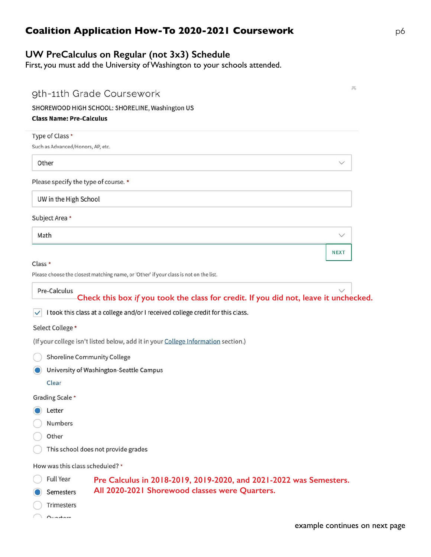## **UW PreCalculus on Regular (not 3x3) Schedule**

First, you must add the University of Washington to your schools attended.

| <b>Class Name: Pre-Calculus</b>                      | 9th-11th Grade Coursework<br>SHOREWOOD HIGH SCHOOL: SHORELINE, Washington US                                                                                            | 其            |
|------------------------------------------------------|-------------------------------------------------------------------------------------------------------------------------------------------------------------------------|--------------|
| Type of Class *<br>Such as Advanced/Honors, AP, etc. |                                                                                                                                                                         |              |
| Other                                                |                                                                                                                                                                         |              |
| Please specify the type of course. *                 |                                                                                                                                                                         |              |
| UW in the High School                                |                                                                                                                                                                         |              |
| Subject Area *                                       |                                                                                                                                                                         |              |
| Math                                                 |                                                                                                                                                                         | $\checkmark$ |
|                                                      |                                                                                                                                                                         | <b>NEXT</b>  |
| Class *                                              | Please choose the closest matching name, or 'Other' if your class is not on the list.                                                                                   |              |
| Pre-Calculus<br>$\checkmark$                         | Check this box if you took the class for credit. If you did not, leave it unchecked.<br>I took this class at a college and/or I received college credit for this class. |              |
| Select College *                                     |                                                                                                                                                                         |              |
|                                                      | (If your college isn't listed below, add it in your College Information section.)                                                                                       |              |
| <b>Shoreline Community College</b>                   |                                                                                                                                                                         |              |
|                                                      | University of Washington-Seattle Campus                                                                                                                                 |              |
| Clear                                                |                                                                                                                                                                         |              |
| Grading Scale *<br>Letter                            |                                                                                                                                                                         |              |
| Numbers                                              |                                                                                                                                                                         |              |
| Other                                                |                                                                                                                                                                         |              |
|                                                      | This school does not provide grades                                                                                                                                     |              |
| How was this class scheduled? *                      |                                                                                                                                                                         |              |
| <b>Full Year</b>                                     | Pre Calculus in 2018-2019, 2019-2020, and 2021-2022 was Semesters.                                                                                                      |              |
| Semesters                                            | All 2020-2021 Shorewood classes were Quarters.                                                                                                                          |              |
| Trimesters<br><b>Ouartors</b>                        |                                                                                                                                                                         |              |

example continues on next page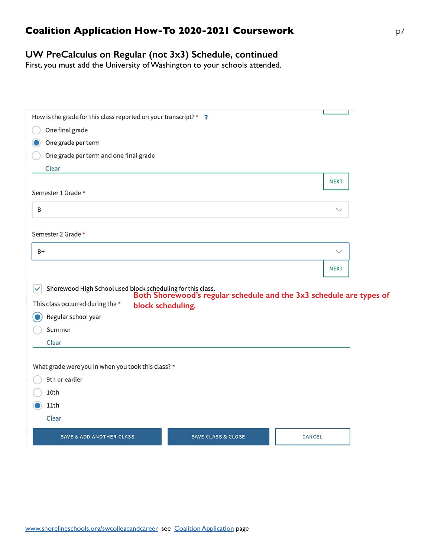## **UW PreCalculus on Regular (not 3x3) Schedule, continued**

First, you must add the University of Washington to your schools attended.

| How is the grade for this class reported on your transcript? * ?            |                               |                                                                     |
|-----------------------------------------------------------------------------|-------------------------------|---------------------------------------------------------------------|
| One final grade                                                             |                               |                                                                     |
| One grade per term                                                          |                               |                                                                     |
|                                                                             |                               |                                                                     |
| One grade per term and one final grade<br>Clear                             |                               |                                                                     |
|                                                                             |                               |                                                                     |
| Semester 1 Grade *                                                          |                               | <b>NEXT</b>                                                         |
|                                                                             |                               |                                                                     |
| B                                                                           |                               | $\checkmark$                                                        |
|                                                                             |                               |                                                                     |
| Semester 2 Grade *                                                          |                               |                                                                     |
| $B+$                                                                        |                               | $\checkmark$                                                        |
|                                                                             |                               | <b>NEXT</b>                                                         |
|                                                                             |                               |                                                                     |
| Shorewood High School used block scheduling for this class.<br>$\checkmark$ |                               | Both Shorewood's regular schedule and the 3x3 schedule are types of |
| This class occurred during the *<br>block scheduling.                       |                               |                                                                     |
| Regular school year                                                         |                               |                                                                     |
| Summer                                                                      |                               |                                                                     |
| Clear                                                                       |                               |                                                                     |
|                                                                             |                               |                                                                     |
| What grade were you in when you took this class? *                          |                               |                                                                     |
| 9th or earlier                                                              |                               |                                                                     |
| 10th                                                                        |                               |                                                                     |
| 11th                                                                        |                               |                                                                     |
| Clear                                                                       |                               |                                                                     |
| <b>SAVE &amp; ADD ANOTHER CLASS</b>                                         | <b>SAVE CLASS &amp; CLOSE</b> | CANCEL                                                              |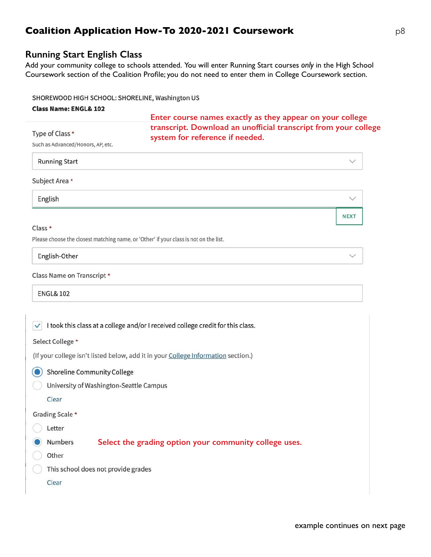### **Running Start English Class**

Add your community college to schools attended. You will enter Running Start courses *only* in the High School Coursework section of the Coalition Profile; you do not need to enter them in College Coursework section.

#### SHOREWOOD HIGH SCHOOL: SHORELINE, Washington US

#### **Class Name: ENGL& 102**

**Enter course names exactly as they appear on your college transcript. Download an unofficial transcript from your college system for reference if needed.** 

Such as Advanced/Honors, AP, etc.

**Running Start** 

#### Subject Area \*

Type of Class \*

English

#### Class \*

Please choose the closest matching name, or 'Other' if your class is not on the list.

English-Other

**NEXT** 

#### Class Name on Transcript \*

**ENGL& 102** 

 $\checkmark$  I took this class at a college and/or I received college credit for this class. Select College \* (If your college isn't listed below, add it in your College Information section.) Shoreline Community College University of Washington-Seattle Campus Clear Grading Scale \*

Numbers **Select the grading option your community college uses.**

Other

Letter

This school does not provide grades

Clear